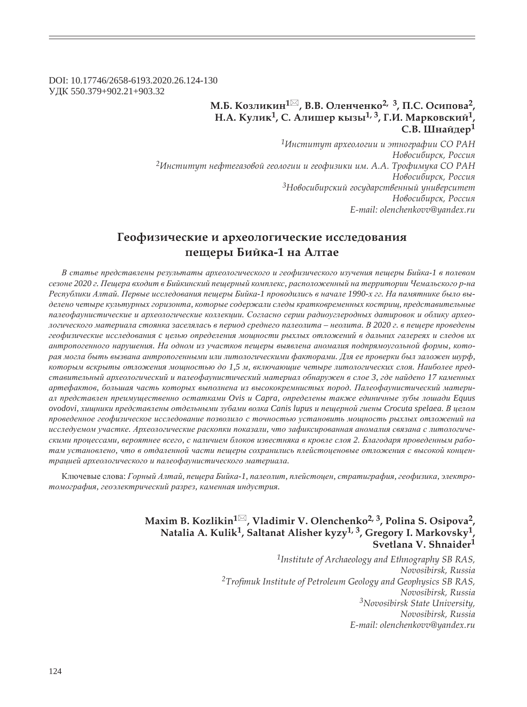DOI: 10.17746/2658-6193.2020.26.124-130 ɍȾɄ 550.379+902.21+903.32

## **Ǻ.ǯ. ǸȜȕșȖȘȖț<sup>1</sup> , ǰ.ǰ. ǼșȓțȥȓțȘȜ2, 3, ǽ.ǿ. ǼȟȖȝȜȐȎ2, Н.А. Кулик<sup>1</sup>, С. Алишер кызы<sup>1, 3</sup>, Г.И. Марковский<sup>1</sup>, ǿ.ǰ. ȆțȎȗȒȓȞ<sup>1</sup>**

*<sup>1</sup>ǶțȟȠȖȠȡȠ ȎȞȣȓȜșȜȑȖȖ Ȗ ȫȠțȜȑȞȎȢȖȖ ǿǼ ǾǮǻ*  $H$ овосибирск, Россия <sup>2</sup>Институт нефтегазовой геологии и геофизики им. А.А. Трофимука СО РАН  $H$ овосибирск, Россия <sup>3</sup>Новосибирский государственный университет Новосибирск, Россия *E-mail: olenchenkovv@yandex.ru*

# Геофизические и археологические исследования  $\overline{B}$ ийка-1 на Алтае

В статье представлены результаты археологического и геофизического изучения пещеры Бийка-1 в полевом сезоне 2020 г. Пещера входит в Бийкинский пещерный комплекс, расположенный на территории Чемальского р-на Республики Алтай. Первые исследования пещеры Бийка-1 проводились в начале 1990-х гг. На памятнике было выделено четыре культурных горизонта, которые содержали следы кратковременных кострищ, представительные палеофаунистические и археологические коллекции. Согласно серии радиоуглеродных датировок и облику археологического материала стоянка заселялась в период среднего палеолита – неолита. В 2020 г. в пешере проведены  $2e$ офизические исследования с целью определения мощности рыхлых отложений в дальних галереях и следов их  $a$ нтропогенного нарушения. На одном из участков пещеры выявлена аномалия подпрямоугольной формы, которая могла быть вызвана антропогенными или литологическими факторами. Для ее проверки был заложен шурф, которым вскрыты отложения мощностью до 1,5 м, включающие четыре литологических слоя. Наиболее пред $c$ тавительный археологический и палеофаунистический материал обнаружен в слое 3, где найдено 17 каменных  $apme\phi$ актов, большая часть которых выполнена из высококремнистых пород. Палеофаунистический матери*ɚɥ ɩɪɟɞɫɬɚɜɥɟɧ ɩɪɟɢɦɭɳɟɫɬɜɟɧɧɨ ɨɫɬɚɬɤɚɦɢ Ovis ɢ Capra, ɨɩɪɟɞɟɥɟɧɵ ɬɚɤɠɟ ɟɞɢɧɢɱɧɵɟ ɡɭɛɵ ɥɨɲɚɞɢ Equus*   $o$ vodovi, хищники представлены отдельными зубами волка Canis lupus и пещерной гиены Crocuta spelaea. В целом проведенное геофизическое исследование позволило с точностью установить мощность рыхлых отложений на исследуемом участке. Археологические раскопки показали, что зафиксированная аномалия связана с литологическими процессами, вероятнее всего, с наличием блоков известняка в кровле слоя 2. Благодаря проведенным работам установлено, что в отдаленной части пещеры сохранились плейстоценовые отложения с высокой концен $m$ рацией археологического и палеофаунистического материала.

Ключевые слова: Горный Алтай, пещера Бийка-1, палеолит, плейстоцен, стратиграфия, геофизика, электро $m$ омография, геоэлектрический разрез, каменная индустрия.

## **Maxim B. Kozlikin<sup>1</sup> , Vladimir V. Olenchenko2, 3, Polina S. Osipova2, Natalia A. Kulik1, Saltanat Alisher kyzy1, 3, Gregory I. Markovsky1, Svetlana V. Shnaider<sup>1</sup>**

*1Institute of Archaeology and Ethnography SB RAS, Novosibirsk, Russia* <sup>2</sup>Trofimuk Institute of Petroleum Geology and Geophysics SB RAS, *Novosibirsk, Russia 3Novosibirsk State University, Novosibirsk, Russia E-mail: olenchenkovv@yandex.ru*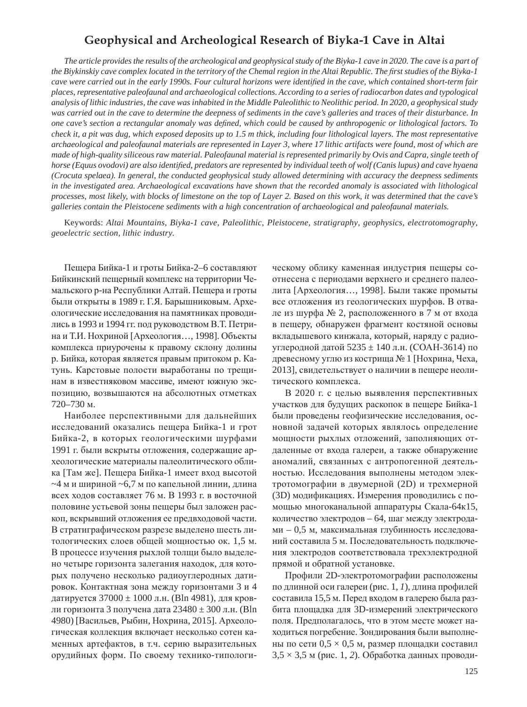## **Geophysical and Archeological Research of Biyka-1 Cave in Altai**

*The article provides the results of the archeological and geophysical study of the Biyka-1 cave in 2020. The cave is a part of the Biykinskiy cave complex located in the territory of the Chemal region in the Altai Republic. The first studies of the Biyka-1* cave were carried out in the early 1990s. Four cultural horizons were identified in the cave, which contained short-term fair *places, representative paleofaunal and archaeological collections. According to a series of radiocarbon dates and typological analysis of lithic industries, the cave was inhabited in the Middle Paleolithic to Neolithic period. In 2020, a geophysical study was carried out in the cave to determine the deepness of sediments in the cave's galleries and traces of their disturbance. In one cave's section a rectangular anomaly was defined, which could be caused by anthropogenic or lithological factors. To check it, a pit was dug, which exposed deposits up to 1.5 m thick, including four lithological layers. The most representative archaeological and paleofaunal materials are represented in Layer 3, where 17 lithic artifacts were found, most of which are made of high-quality siliceous raw material. Paleofaunal material is represented primarily by Ovis and Capra, single teeth of horse (Equus ovodovi) are also identified, predators are represented by individual teeth of wolf (Canis lupus) and cave hyaena (Crocuta spelaea). In general, the conducted geophysical study allowed determining with accuracy the deepness sediments in the investigated area. Archaeological excavations have shown that the recorded anomaly is associated with lithological processes, most likely, with blocks of limestone on the top of Layer 2. Based on this work, it was determined that the cave's galleries contain the Pleistocene sediments with a high concentration of archaeological and paleofaunal materials.*

Keywords: *Altai Mountains, Biyka-1 cave, Paleolithic, Pleistocene, stratigraphy, geophysics, electrotomography, geoelectric section, lithic industry.*

Пещера Бийка-1 и гроты Бийка-2–6 составляют Бийкинский пещерный комплекс на территории Чемальского р-на Республики Алтай. Пещера и гроты были открыты в 1989 г. Г.Я. Барышниковым. Археологические исследования на памятниках проводились в 1993 и 1994 гг. под руководством В.Т. Петрина и Т.И. Нохриной [Археология..., 1998]. Объекты комплекса приурочены к правому склону долины р. Бийка, которая является правым притоком р. Катунь. Карстовые полости выработаны по трещинам в известняковом массиве, имеют южную экспозицию, возвышаются на абсолютных отметках  $720 - 730$  M.

Наиболее перспективными для дальнейших исследований оказались пещера Бийка-1 и грот Бийка-2, в которых геологическими шурфами 1991 г. были вскрыты отложения, содержащие археологические материалы палеолитического облика [Там же]. Пещера Бийка-1 имеет вход высотой  $\sim$ 4 м и шириной  $\sim$ 6,7 м по капельной линии, длина всех ходов составляет 76 м. В 1993 г. в восточной половине устьевой зоны пещеры был заложен раскоп, вскрывший отложения ее предвходовой части. В стратиграфическом разрезе выделено шесть литологических слоев общей мощностью ок. 1,5 м. В процессе изучения рыхлой толщи было выделено четыре горизонта залегания находок, для которых получено несколько радиоуглеродных датировок. Контактная зона между горизонтами 3 и 4 датируется  $37000 \pm 1000$  л.н. (Bln 4981), для кровли горизонта 3 получена дата  $23480 \pm 300$  л.н. (Bln 4980) [Васильев, Рыбин, Нохрина, 2015]. Археологическая коллекция включает несколько сотен каменных артефактов, в т.ч. серию выразительных орудийных форм. По своему технико-типологическому облику каменная индустрия пещеры соотнесена с периодами верхнего и среднего палеолита [Археология..., 1998]. Были также промыты все отложения из геологических шурфов. В отвале из шурфа № 2, расположенного в 7 м от входа в пещеру, обнаружен фрагмент костяной основы вкладышевого кинжала, который, наряду с радиоуглеродной датой 5235 ± 140 л.н. (СОАН-3614) по древесному углю из кострища № 1 [Нохрина, Чеха, 2013], свидетельствует о наличии в пещере неолитического комплекса.

В 2020 г. с целью выявления перспективных участков для будущих раскопок в пещере Бийка-1 были проведены геофизические исследования, основной задачей которых являлось определение мощности рыхлых отложений, заполняющих отдаленные от входа галереи, а также обнаружение аномалий, связанных с антропогенной деятельностью. Исследования выполнены методом электротомографии в двумерной (2D) и трехмерной (3D) модификациях. Измерения проводились с помощью многоканальной аппаратуры Скала-64к15, количество электродов – 64, шаг между электродами – 0,5 м, максимальная глубинность исследований составила 5 м. Последовательность подключения электродов соответствовала трехэлектродной прямой и обратной установке.

Профили 2D-электротомографии расположены по длинной оси галереи (рис. 1, *1*), длина профилей составила 15,5 м. Перед входом в галерею была разбита площадка для 3D-измерений электрического поля. Предполагалось, что в этом месте может находиться погребение. Зондирования были выполнены по сети  $0.5 \times 0.5$  м, размер площадки составил  $3,5 \times 3,5$  м (рис. 1, 2). Обработка данных проводи-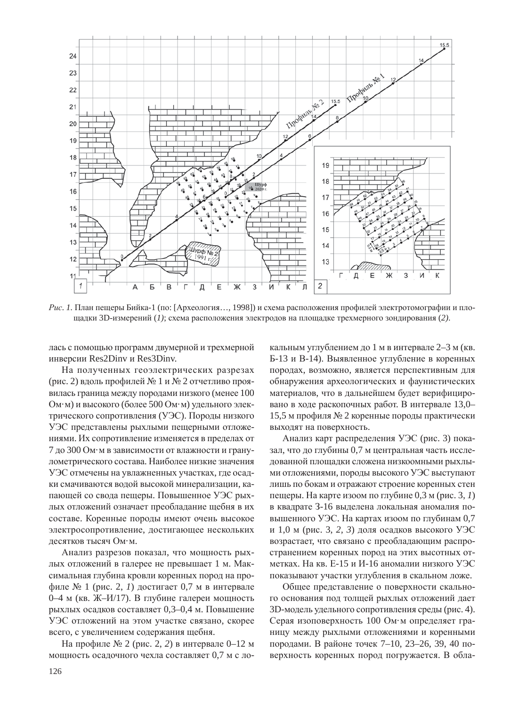

*Рис. 1*. План пещеры Бийка-1 (по: [Археология..., 1998]) и схема расположения профилей электротомографии и площадки 3D-измерений (1); схема расположения электродов на площадке трехмерного зондирования (2).

лась с помощью программ двумерной и трехмерной инверсии Res2Dinv и Res3Dinv.

На полученных геоэлектрических разрезах (рис. 2) вдоль профилей № 1 и № 2 отчетливо проявилась граница между породами низкого (менее 100 Ом·м) и высокого (более 500 Ом·м) удельного электрического сопротивления (УЭС). Породы низкого УЭС представлены рыхлыми пещерными отложениями. Их сопротивление изменяется в пределах от 7 до 300 Ом·м в зависимости от влажности и гранулометрического состава. Наиболее низкие значения УЭС отмечены на увлажненных участках, где осадки смачиваются водой высокой минерализации, капающей со свода пещеры. Повышенное УЭС рыхлых отложений означает преобладание щебня в их составе. Коренные породы имеют очень высокое электросопротивление, достигающее нескольких десятков тысяч Ом·м.

Анализ разрезов показал, что мощность рыхлых отложений в галерее не превышает 1 м. Максимальная глубина кровли коренных пород на профиле № 1 (рис. 2, *1*) достигает 0,7 м в интервале 0–4 м (кв. Ж–И/17). В глубине галереи мощность рыхлых осадков составляет 0,3–0,4 м. Повышение УЭС отложений на этом участке связано, скорее всего, с увеличением содержания щебня.

На профиле № 2 (рис. 2, 2) в интервале 0–12 м мощность осадочного чехла составляет 0,7 м с локальным углублением до 1 м в интервале 2–3 м (кв. Б-13 и В-14). Выявленное углубление в коренных породах, возможно, является перспективным для обнаружения археологических и фаунистических материалов, что в дальнейшем будет верифицировано в ходе раскопочных работ. В интервале 13,0-15,5 м профиля № 2 коренные породы практически выходят на поверхность.

Анализ карт распределения УЭС (рис. 3) показал, что до глубины 0,7 м центральная часть исследованной площадки сложена низкоомными рыхлыми отложениями, породы высокого УЭС выступают лишь по бокам и отражают строение коренных стен пещеры. На карте изоом по глубине 0,3 м (рис. 3, 1) в квадрате 3-16 выделена локальная аномалия повышенного УЭС. На картах изоом по глубинам 0,7 и 1,0 м (рис. 3, 2, 3) доля осадков высокого УЭС возрастает, что связано с преобладающим распространением коренных пород на этих высотных отметках. На кв. Е-15 и И-16 аномалии низкого УЭС показывают участки углубления в скальном ложе.

Общее представление о поверхности скального основания под толщей рыхлых отложений дает 3D-модель удельного сопротивления среды (рис. 4). Серая изоповерхность 100 Ом·м определяет границу между рыхлыми отложениями и коренными породами. В районе точек 7–10, 23–26, 39, 40 поверхность коренных пород погружается. В обла-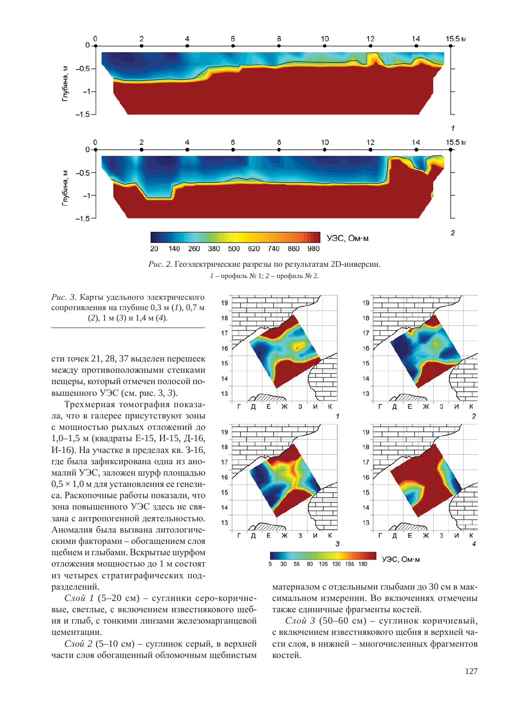



Рис. 3. Карты удельного электрического сопротивления на глубине 0,3 м (1), 0,7 м (2), 1 м (3) и 1,4 м (4).

сти точек 21, 28, 37 выделен перешеек между противоположными стенками пещеры, который отмечен полосой повышенного УЭС (см. рис. 3, 3).

Трехмерная томография показала, что в галерее присутствуют зоны с мощностью рыхлых отложений до 1,0–1,5 м (квадраты Е-15, И-15, Д-16, И-16). На участке в пределах кв. 3-16, где была зафиксирована одна из аномалий УЭС, заложен шурф площадью  $0.5 \times 1.0$  м для установления ее генезиса. Раскопочные работы показали, что зона повышенного УЭС здесь не связана с антропогенной деятельностью. Аномалия была вызвана литологическими факторами – обогащением слоя щебнем и глыбами. Вскрытые шурфом отложения мощностью до 1 м состоят из четырех стратиграфических подразделений.

 $Cu\tilde{u}$  1 (5–20 см) – суглинки серо-коричневые, светлые, с включением известнякового щебня и глыб, с тонкими линзами железомарганцевой цементации.

*Слой* 2 (5–10 см) – суглинок серый, в верхней части слоя обогашенный обломочным шебнистым



материалом с отдельными глыбами до 30 см в максимальном измерении. Во включениях отмечены также единичные фрагменты костей.

*Слой 3* (50–60 см) – суглинок коричневый, с включением известнякового щебня в верхней части слоя, в нижней – многочисленных фрагментов костей.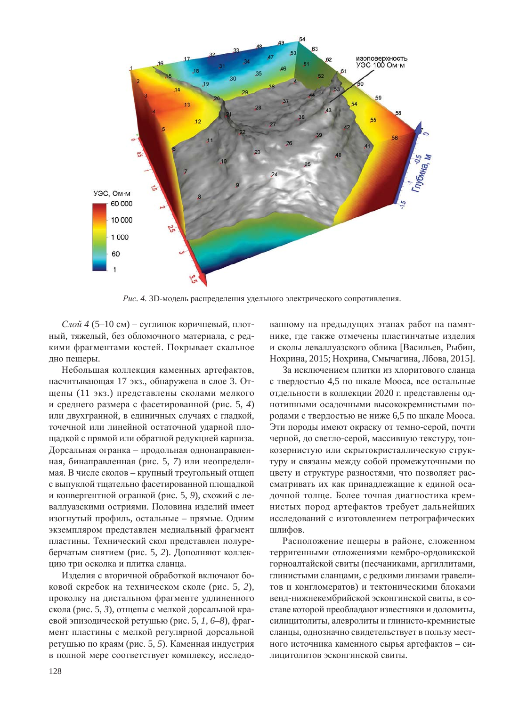

Рис. 4. 3D-модель распределения удельного электрического сопротивления.

*Слой 4* (5–10 см) – суглинок коричневый, плотный, тяжелый, без обломочного материала, с редкими фрагментами костей. Покрывает скальное дно пещеры.

Небольшая коллекция каменных артефактов, насчитывающая 17 экз., обнаружена в слое 3. Отщепы (11 экз.) представлены сколами мелкого и среднего размера с фасетированной (рис. 5, 4) или двухгранной, в единичных случаях с гладкой, точечной или линейной остаточной ударной площадкой с прямой или обратной редукцией карниза. Дорсальная огранка – продольная однонаправленная, бинаправленная (рис. 5, 7) или неопределимая. В числе сколов – крупный треугольный отщеп с выпуклой тщательно фасетированной площадкой и конвергентной огранкой (рис. 5, 9), схожий с леваллуазскими остриями. Половина изделий имеет изогнутый профиль, остальные – прямые. Одним экземпляром представлен медиальный фрагмент пластины. Технический скол представлен полуреберчатым снятием (рис. 5, 2). Дополняют коллекцию три осколка и плитка сланца.

Изделия с вторичной обработкой включают боковой скребок на техническом сколе (рис. 5, 2), проколку на дистальном фрагменте удлиненного скола (рис. 5, 3), отщепы с мелкой дорсальной краевой эпизодической ретушью (рис. 5, 1, 6–8), фрагмент пластины с мелкой регулярной дорсальной ретушью по краям (рис. 5, 5). Каменная индустрия в полной мере соответствует комплексу, исследованному на предыдущих этапах работ на памятнике, где также отмечены пластинчатые изделия и сколы леваллуазского облика [Васильев, Рыбин, Нохрина, 2015; Нохрина, Смычагина, Лбова, 2015].

За исключением плитки из хлоритового сланца с твердостью 4,5 по шкале Мооса, все остальные отдельности в коллекции 2020 г. представлены однотипными осадочными высококремнистыми породами с твердостью не ниже 6,5 по шкале Мооса. Эти породы имеют окраску от темно-серой, почти черной, до светло-серой, массивную текстуру, тонкозернистую или скрытокристаллическую структуру и связаны между собой промежуточными по цвету и структуре разностями, что позволяет рассматривать их как принадлежащие к единой осадочной толще. Более точная диагностика кремнистых пород артефактов требует дальнейших исследований с изготовлением петрографических шлифов.

Расположение пещеры в районе, сложенном терригенными отложениями кембро-ордовикской горноалтайской свиты (песчаниками, аргиллитами, глинистыми сланцами, с редкими линзами гравелитов и конгломератов) и тектоническими блоками венд-нижнекембрийской эсконгинской свиты, в составе которой преобладают известняки и доломиты, силицитолиты, алевролиты и глинисто-кремнистые сланцы, однозначно свидетельствует в пользу местного источника каменного сырья артефактов – силицитолитов эсконгинской свиты.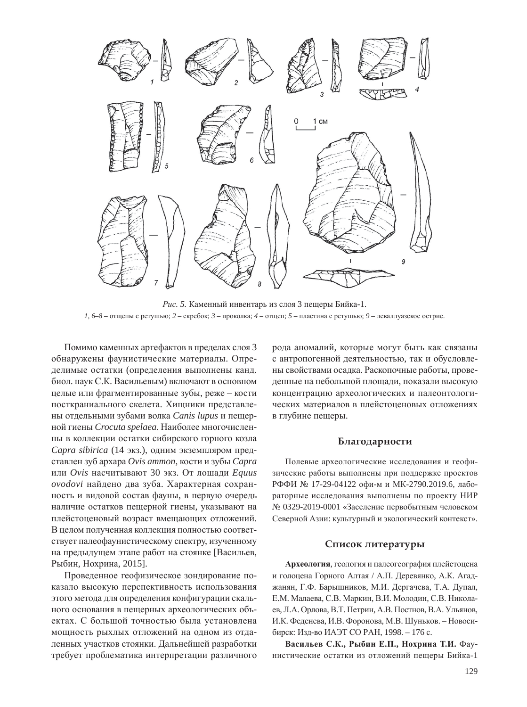

Рис. 5. Каменный инвентарь из слоя 3 пещеры Бийка-1.  $1, 6–8$  – отщепы с ретушью;  $2$  – скребок;  $3$  – проколка;  $4$  – отщеп;  $5$  – пластина с ретушью;  $9$  – леваллуазское острие.

Помимо каменных артефактов в пределах слоя 3 обнаружены фаунистические материалы. Определимые остатки (определения выполнены канд. биол. наук С.К. Васильевым) включают в основном целые или фрагментированные зубы, реже – кости посткраниального скелета. Хищники представлены отдельными зубами волка *Canis lupus* и пещерной гиены Crocuta spelaea. Наиболее многочисленны в коллекции остатки сибирского горного козла *Capra sibirica* (14 экз.), одним экземпляром представлен зуб архара Ovis ammon, кости и зубы Capra или Ovis насчитывают 30 экз. От лошади Equus *ovodovi* найдено два зуба. Характерная сохранность и видовой состав фауны, в первую очередь наличие остатков пещерной гиены, указывают на плейстоценовый возраст вмещающих отложений. В целом полученная коллекция полностью соответствует палеофаунистическому спектру, изученному на предыдущем этапе работ на стоянке [Васильев, Рыбин, Нохрина, 2015].

Проведенное геофизическое зондирование показало высокую перспективность использования этого метода для определения конфигурации скального основания в пещерных археологических объектах. С большой точностью была установлена мощность рыхлых отложений на одном из отдаленных участков стоянки. Дальнейшей разработки требует проблематика интерпретации различного рода аномалий, которые могут быть как связаны с антропогенной деятельностью, так и обусловлены свойствами осадка. Раскопочные работы, проведенные на небольшой площади, показали высокую концентрацию археологических и палеонтологических материалов в плейстоценовых отложениях в глубине пещеры.

### **Благодарности**

Полевые археологические исследования и геофизические работы выполнены при поддержке проектов РФФИ № 17-29-04122 офи-м и МК-2790.2019.6, лабораторные исследования выполнены по проекту НИР № 0329-2019-0001 «Заселение первобытным человеком Северной Азии: культурный и экологический контекст».

#### Список литературы

Археология, геология и палеогеография плейстоцена и голоцена Горного Алтая / А.П. Деревянко, А.К. Агаджанян, Г.Ф. Барышников, М.И. Дергачева, Т.А. Дупал, Е.М. Малаева, С.В. Маркин, В.И. Молодин, С.В. Николаев, Л.А. Орлова, В.Т. Петрин, А.В. Постнов, В.А. Ульянов, И.К. Феденева, И.В. Форонова, М.В. Шуньков. - Новосибирск: Изд-во ИАЭТ СО РАН, 1998. - 176 с.

Васильев С.К., Рыбин Е.П., Нохрина Т.И. Фаунистические остатки из отложений пещеры Бийка-1